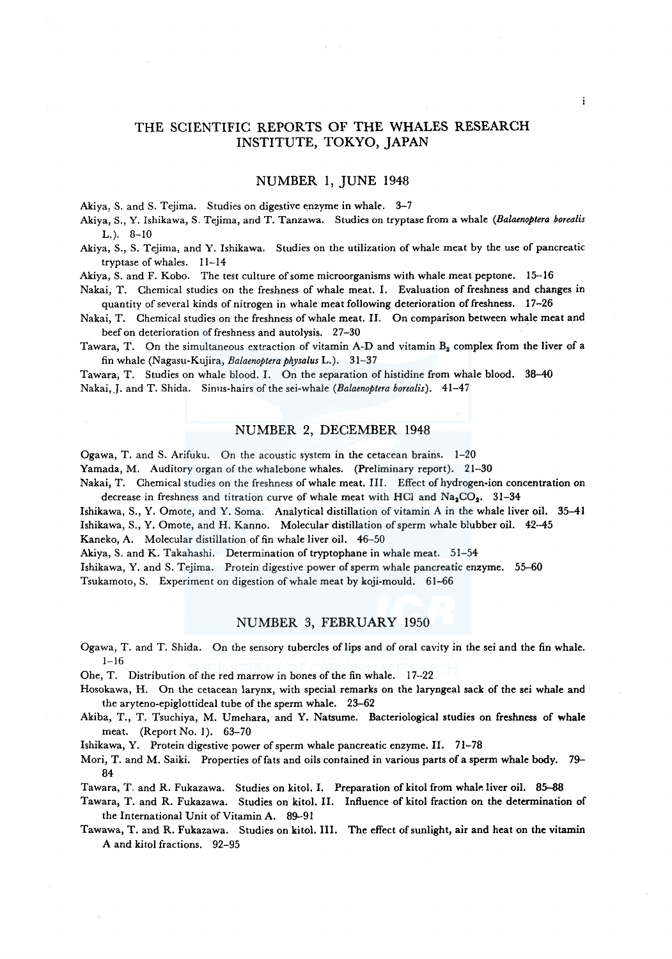# THE SCIENTIFIC REPORTS OF THE WHALES RESEARCH INSTITUTE, TOKYO, JAPAN

# NUMBER 1, JUNE 1948

Akiya, S. and S. Tejima. Studies on digestive enzyme in whale. 3-7

Akiya, S., Y. Ishikawa, S. Tejima, and T. Tanzawa. Studies on tryptase from a whale *(Balaenoptera borealis*  L.). 8-10

Akiya, S., S. Tejima, and Y. Ishikawa. Studies on the utilization of whale meat by the use of pancreatic tryptase of whales. 11-14

Akiya, S. and F. Kobo. The test culture of some microorganisms with whale meat peptone. 15-16

Nakai, T. Chemical studies on the freshness of whale meat. I. Evaluation of freshness and changes in quantity of several kinds of nitrogen in whale meat following deterioration of freshness. 17-26

Nakai, T. Chemical studies on the freshness of whale meat. II. On comparison between whale meat and beef on deterioration of freshness and autolysis. 27-30

Tawara, T. On the simultaneous extraction of vitamin A-D and vitamin  $B_2$  complex from the liver of a fin whale (Nagasu-Kujira, *Balaenoptera physalus* L.). 31-37

Tawara, T. Studies on whale blood. I. On the separation of histidine from whale blood. 38-40 Nakai, J. and T. Shida. Sinus-hairs of the sei-whale *(Balaenoptera borealis)*. 41-47

### NUMBER 2, DECEMBER 1948

Ogawa, T. and S. Arifuku. On the acoustic system in the cetacean brains. 1-20

Yamada, M. Auditory organ of the whalebone whales. (Preliminary report). 21-30

Nakai, T. Chemical studies on the freshness of whale meat. III. Effect of hydrogen-ion concentration on decrease in freshness and titration curve of whale meat with HCl and  $Na_2CO_2$ . 31-34

Ishikawa, S., Y. Omote, and Y. Soma. Analytical distillation of vitamin A in the whale liver oil. 35-41 Ishikawa, S., Y. Omote, and H. Kanno. Molecular distillation of sperm whale blubber oil. 42-45

Kaneko, A. Molecular distillation of fin whale liver oil. 46-50

Akiya, S. and K. Takahashi. Determination of tryptophane in whale meat. 51-54

Ishikawa, Y. and S. Tejima. Protein digestive power of sperm whale pancreatic enzyme. 55-60

Tsukamoto, S. Experiment on digestion of whale meat by koji-mould. 61-66

#### NUMBER 3, FEBRUARY 1950

Ogawa, T. and T. Shida. On the sensory tubercles of lips and of oral cavity in the sei and the fin whale.  $1 - 16$ 

Ohe, T. Distribution of the red marrow in bones of the fin whale. 17--22

Hosokawa, H. On the cetacean larynx, with special remarks on the laryngeal sack of the sei whale and the aryteno-epiglottideal tube of the sperm whale. 23-62

Akiba, T., T. Tsuchiya, M. Umehara, and Y. Natsume. Bacteriological studies on freshness of whale meat. (Report No. 1). 63-70

Ishikawa, Y. Protein digestive power of sperm whale pancreatic enzyme. II. 71-78

Mori, T. and M. Saiki. Properties of fats and oils contained in various parts of a sperm whale body. 79- 84

Tawara, T. and R. Fukazawa. Studies on kitol. I. Preparation of kitol from whale liver oil. 85-88

Tawara, T. and R. Fukazawa. Studies on kitol. II. Influence of kitol fraction on the determination of the International Unit of Vitamin A. 89-91

Tawawa, T. and R. Fukazawa. Studies on kitol. III. The effect of sunlight, air and heat on the vitamin A and kitol fractions. 92-95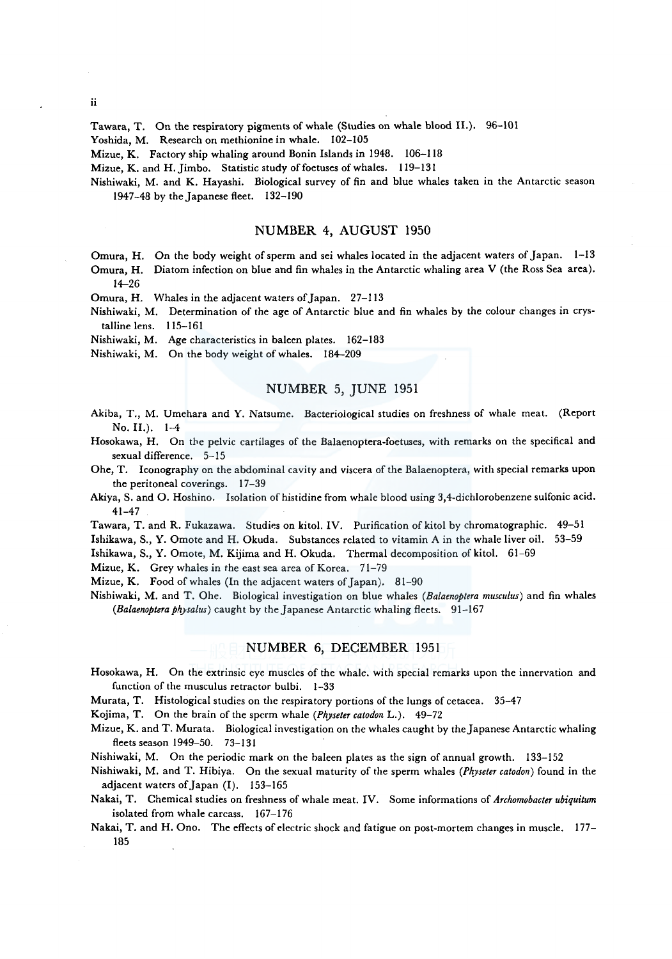ii

Tawara, T. On the respiratory pigments of whale (Studies on whale blood II.). 96-101

Yoshida, M. Research on methionine in whale. 102-105

Mizue, K. Factory ship whaling around Bonin Islands in 1948. 106-ll8

Mizue, K. and H. Jimbo. Statistic study of foetuses of whales. 119-131

Nishiwaki, M. and K. Hayashi. Biological survey of fin and blue whales taken in the Antarctic season 1947-48 by the Japanese fleet. 132-190

# NUMBER 4, AUGUST 1950

Omura, H. On the body weight of sperm and sei whales located in the adjacent waters of Japan. 1-13 Omura, H. Diatom infection on blue and fin whales in the Antarctic whaling area V (the Ross Sea area). 14-26

Omura, H. Whales in the adjacent waters of Japan. 27-113

Nishiwaki, M. Determination of the age of Antarctic blue and fin whales by the colour changes in crystalline lens. 115-161

Nishiwaki, M. Age characteristics in baleen plates. 162-183

Nishiwaki, M. On the body weight of whales. 184-209

# NUMBER 5, JUNE 1951

- Akiba, T., M. Umehara and Y. Natsume. Bacteriological studies on freshness of whale meat. (Report No. II.). 1-4
- Hosokawa, H. On the pelvic cartilages of the Balaenoptera-foetuses, with remarks on the specifical and sexual difference. 5-15
- Ohe, T. Iconography on the abdominal cavity and viscera of the Balaenoptera, with special remarks upon the peritoneal coverings. 17-39
- Akiya, S. and O. Hoshino. Isolation of histidine from whale blood using 3,4-dichlorobenzene sulfonic acid. 41-47
- Tawara, T. and R. Fukazawa. Studies on kitol. IV. Purification of kitol by chromatographic. 49-51

Ishikawa, S., Y. Omote and H. Okuda. Substances related to vitamin A in the whale liver oil. 53-59

Ishikawa, S., Y. Omote, M. Kijima and H. Okuda. Thermal decomposition of kitol. 61-69

Mizue, K. Grey whales in the east sea area of Korea. 71-79

Mizue, K. Food of whales (In the adjacent waters of Japan). 81-90

Nishiwaki, M. and T. Ohe. Biological investigation on blue whales *(Balaenoptera musculus)* and fin whales *(Balaenoptera physalus)* caught by the Japanese Antarctic whaling fleets. 91-167

# NUMBER 6, DECEMBER 1951

Hosokawa, H. On the extrinsic eye muscles of the whale. with special remarks upon the innervation and function of the musculus retractor bulbi. 1-33

Murata, T. Histological studies on the respiratory portions of the lungs of cetacea. 35-47

Kojima, T. On the brain of the sperm whale *(Physeter catodon* L.). 49-72

Mizue, K. and T. Murata. Biological investigation on the whales caught by theJapanese Antarctic whaling fleets season 1949-50. 73-131

Nishiwaki, M. On the periodic mark on the baleen plates as the sign of annual growth. 133-152

- Nishiwaki, M. and T. Hibiya. On the sexual maturity of the sperm whales (Physeter catodon) found in the adjacent waters of Japan (I). 153-165
- Nakai, T. Chemical studies on freshness of whale meat. IV. Some informations of *Archomobacter ubiquitum*  isolated from whale carcass. 167-176
- Nakai, T. and H. Ono. The effects of electric shock and fatigue on post-mortem changes in muscle. 177- 185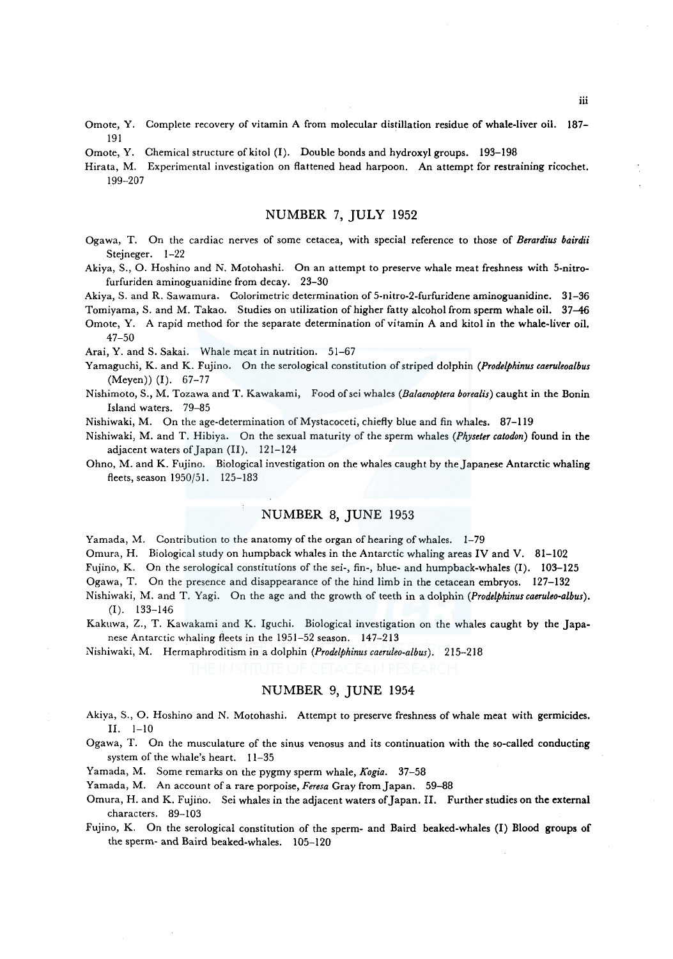Omote, Y. Complete recovery of vitamin A from molecular distillation residue of whale-liver oil. 187- 191

Omote, Y. Chemical structure of kitol  $(I)$ . Double bonds and hydroxyl groups. 193-198

Hirata, M. Experimental investigation on flattened head harpoon. An attempt for restraining ricochet. 199-207

# NUMBER 7, JULY 1952

- Ogawa, T. On the cardiac nerves of some cetacea, with special reference to those of *Berardius bairdii*  Stejneger. 1-22
- Akiya, S., 0. Hoshino and N. Motohashi. On an attempt to preserve whale meat freshness with 5-nitrofurfuriden aminoguanidine from decay. 23-30
- Akiya, S. and R. Sawamura. Colorimetric determination of 5-nitro-2-furfuridene aminoguanidine. 31-36

Tomiyama, S. and M. Takao. Studies on utilization of higher fatty alcohol from sperm whale oil. 37-46

Omote, Y. A rapid method for the separate determination of vitamin A and kitol in the whale-liver oil. 47-50

Arai, Y. and S. Sakai. Whale meat in nutrition. 51-67

- Yamaguchi, K. and K. Fujino. On the serological constitution of striped dolphin *(Prodelphinus caeruleoalbus*  (Meyen)) (I). 67-77
- Nishimoto, S., M. Tozawa and T. Kawakami, Food ofsei whales *(Balaenoptera borealis)* caught in the Bonin Island waters. 79-85
- Nishiwaki, M. On the age-determination of Mystacoceti, chiefly blue and fin whales. 87-119
- Nishiwaki, M. and T. Hibiya. On the sexual maturity of the sperm whales *(Physeter catodon)* found in the adjacent waters of Japan (II). 121-124
- Ohno, M. and K. Fujino. Biological investigation on the whales caught by the Japanese Antarctic whaling fleets, season 1950/51. 125-183

# NUMBER 8, JUNE 1953

Yamada, M. Contribution to the anatomy of the organ of hearing of whales. 1-79

Omura, H. Biological study on humpback whales in the Antarctic whaling areas IV and V. 81-102

Fujino, K. On the serological constitutions of the sei-, fin-, blue- and humpback-whales (I). 103-125

Ogawa, T. On the presence and disappearance of the hind limb in the cetacean embryos. 127-132

- Nishiwaki, M. and T. Yagi. On the age and the growth of teeth in a dolphin *(Prodelphinuscaeruleo-albus).*  (I). 133-146
- Kakuwa, Z., T. Kawakami and K. lguchi. Biological investigation on the whales caught by the Japanese Antarctic whaling fleets in the 1951-52 season. 147-213

Nishiwaki, M. Hermaphroditism in a dolphin *(Prodelphinuscaeruleo-albus).* 215-218

# NUMBER 9, JUNE 1954

- Akiya, S., 0. Hoshino and N. Motohashi. Attempt to preserve freshness of whale meat with germicides. II. 1-10
- Ogawa, T. On the musculature of the sinus venosus and its continuation with the so-called conducting system of the whale's heart. 11-35
- Yamada, M. Some remarks on the pygmy sperm whale, *Kogia.* 37-58

Yamada, M. An account of a rare porpoise, *Feresa* Gray from Japan. 59-88

Omura, H. and K. Fujino. Sei whales in the adjacent waters of Japan. II. Further studies on the external characters. 89-103

Fujino, K. On the serological constitution of the sperm- and Baird beaked-whales (I) Blood groups of the sperm- and Baird beaked-whales. 105-120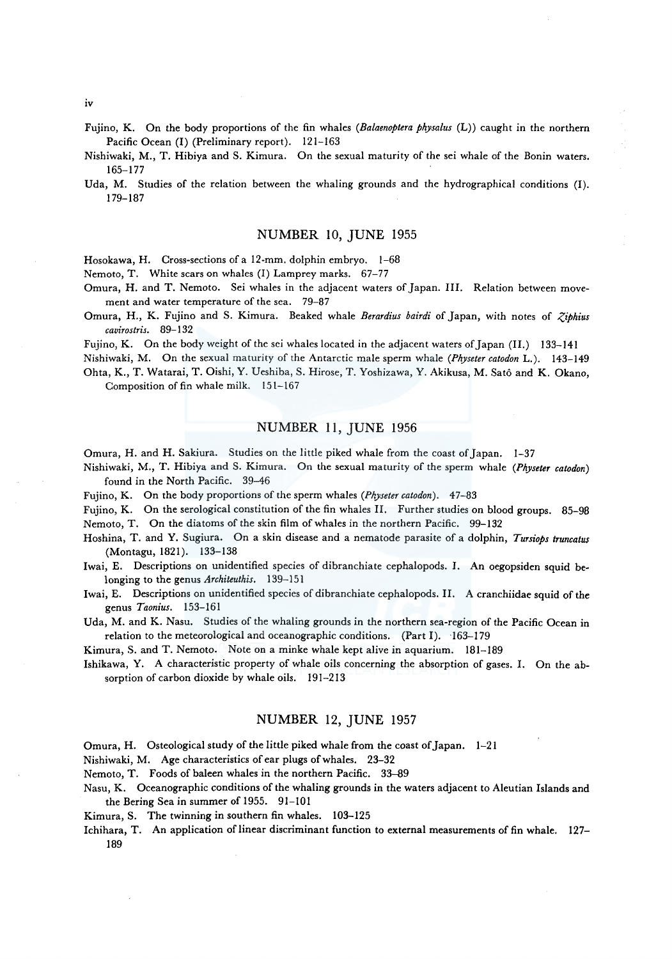Fujino, K. On the body proportions of the fin whales *(Balaenoptera physalus* (L)) caught in the northern Pacific Ocean (I) (Preliminary report). 121-163

Nishiwaki, M., T. Hibiya and S. Kimura. On the sexual maturity of the sei whale of the Bonin waters. 165-177

Uda, M. Studies of the relation between the whaling grounds and the hydrographical conditions (I). 179-187

# NUMBER 10, JUNE 1955

Hosokawa, H. Cross-sections of a 12-mm. dolphin embryo. 1-68

Nemoto, T. White scars on whales (I) Lamprey marks. 67-77

Omura, H. and T. Nemoto. Sei whales in the adjacent waters of Japan. III. Relation between movement and water temperature of the sea. 79-87

Omura, H., K. Fujino and S. Kimura. Beaked whale *Berardius bairdi* of Japan, with notes of *Z,iphius cavirostris.* 89-132

Fujino, K. On the body weight of the sei whales located in the adjacent waters of Japan (II.) 133-141

Nishiwaki, M. On the sexual maturity of the Antarctic male sperm whale *(Physeter catodon* L.). 143-149

Ohta, K., T. Watarai, T. Oishi, Y. Ueshiba, S. Hirose, T. Yoshizawa, Y. Akikusa, M. Sato and K. Okano, Composition of fin whale milk. 151-167

# NUMBER 11, JUNE 1956

Omura, H. and H. Sakiura. Studies on the little piked whale from the coast of Japan. 1-37

Nishiwaki, M., T. Hibiya and S. Kimura. On the sexual maturity of the sperm whale *(Physeter catodon)*  found in the North Pacific. 39-46

Fujino, K. On the body proportions of the sperm whales *(Physeter catodon)*. 47-83

Fujino, K. On the serological constitution of the fin whales II. Further studies on blood groups. 85-98 Nemoto, T. On the diatoms of the skin film of whales in the northern Pacific. 99-132

Hoshina, T. and Y. Sugiura. On a skin disease and a nematode parasite of a dolphin, *Tursiops truncatus*  (Montagu, 1821). 133-138

Iwai, E. Descriptions on unidentified species of dibranchiate cephalopods. I. An oegopsiden squid belonging to the genus *Architeuthis*. 139-151

Iwai, E. Descriptions on unidentified species of dibranchiate cephalopods. II. A cranchiidae squid of the genus *Taonius.* 153-161

Uda, M. and K. Nasu. Studies of the whaling grounds in the northern sea-region of the Pacific Ocean in relation to the meteorological and oceanographic conditions. (Part I). ·163-179

Kimura, S. and T. Nemoto. Note on a minke whale kept alive in aquarium. 181-189

Ishikawa, Y. A characteristic property of whale oils concerning the absorption of gases. I. On the absorption of carbon dioxide by whale oils. 191-213

#### NUMBER 12, JUNE 1957

Omura, H. Osteological study of the little piked whale from the coast of Japan. 1-21

Nishiwaki, M. Age characteristics of ear plugs of whales. 23-32

Nemoto, T. Foods of baleen whales in the northern Pacific. 33-89

Nasu, K. Oceanographic conditions of the whaling grounds in the waters adjacent to Aleutian Islands and the Bering Sea in summer of 1955. 91-101

Kimura, S. The twinning in southern fin whales. 103-125

Ichihara, T. An application of linear discriminant function to external measurements of fin whale. 127- 189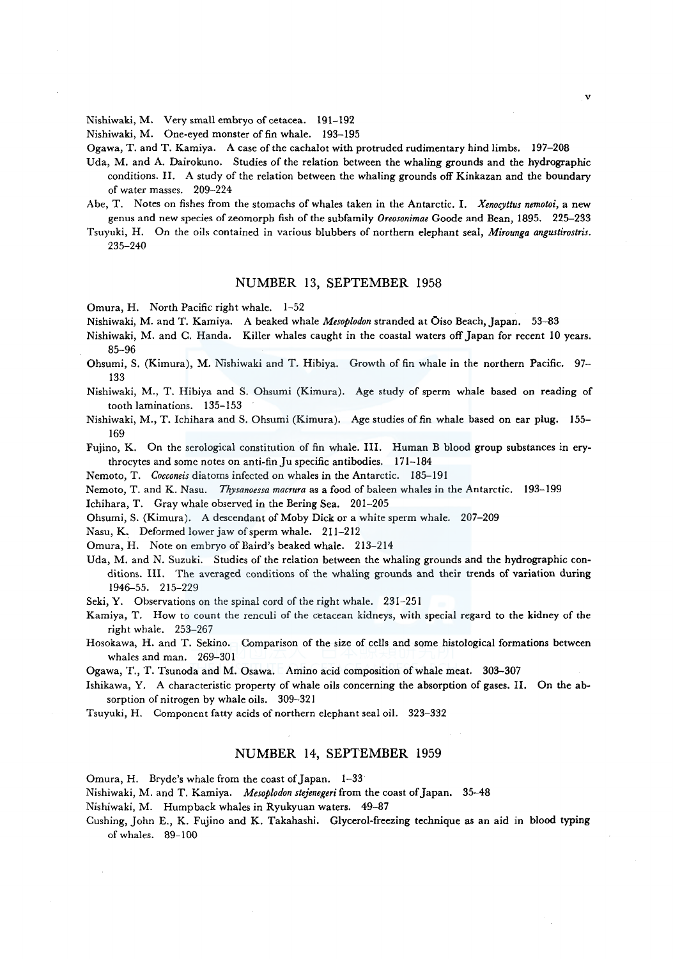Nishiwaki, M. Very small embryo of cetacea. 191-192

Nishiwaki, M. One-eyed monster of fin whale. 193-195

Ogawa, T. and T. Kamiya. A case of the cachalot with protruded rudimentary hind limbs. 197-208

- Uda, M. and A. Dairokuno. Studies of the relation between the whaling grounds and the hydrographic conditions. II. A study of the relation between the whaling grounds off Kinkazan and the boundary of water masses. 209-224
- Abe, T. Notes on fishes from the stomachs of whales taken in the Antarctic. I. *Xenocyttus nemotoi,* a new genus and new species of zeomorph fish of the subfamily *Oreosonimae* Goode and Bean, 1895. 225-233
- Tsuyuki, H. On the oils contained in various blubbers of northern elephant seal, *Mirounga angustirostris.*  235-240

#### NUMBER 13, SEPTEMBER 1958

Omura, H. North Pacific right whale. 1-52

Nishiwaki, M. and T. Kamiya. A beaked whale *Mesoplodon* stranded at Oiso Beach, Japan. 53-83

- Nishiwaki, M. and C. Handa. Killer whales caught in the coastal waters off Japan for recent 10 years. 85-96
- Ohsumi, S. (Kimura), M. Nishiwaki and T. Hibiya. Growth of fin whale in the northern Pacific. 97- 133

Nishiwaki, M., T. Hibiya and S. Ohsumi (Kimura). Age study of sperm whale based on reading of tooth laminations. 135-153

Nishiwaki, M., T. lchihara and S. Ohsumi (Kimura). Age studies of fin whale based on ear plug. 155- 169

Fujino, K. On the serological constitution of fin whale. Ill. Human B blood group substances in erythrocytes and some notes on anti-fin Ju specific antibodies. 171-184

Nemoto, T. *Cocconeis* diatoms infected on whales in the Antarctic. 185-191

Nemoto, T. and K. Nasu. *Thysanoessa macrura* as a food of baleen whales in the Antarctic. 193-199

lchihara, T. Gray whale observed in the Bering Sea. 201-205

Ohsumi, S. (Kimura). A descendant of Moby Dick or a white sperm whale. 207-209

Nasu, K. Deformed lower jaw of sperm whale. 211-212

Omura, H. Note on embryo of Baird's beaked whale. 213-214

Uda, M. and N. Suzuki. Studies of the relation between the whaling grounds and the hydrographic conditions. III. The averaged conditions of the whaling grounds and their trends of variation during 1946-55. 215-229

Seki, Y. Observations on the spinal cord of the right whale. 231-251

Kamiya, T. How to count the renculi of the cetacean kidneys, with special regard to the kidney of the right whale. 253-267

Hosokawa, H. and T. Sekino. Comparison of the size of cells and some histological formations between whales and man. 269-301

Ogawa, T., T. Tsunoda and M. Osawa. Amino acid composition of whale meat. 303-307

Ishikawa, Y. A characteristic property of whale oils concerning the absorption of gases. II. On the absorption of nitrogen by whale oils. 309-321

Tsuyuki, H. Component fatty acids of northern elephant seal oil. 323-332

# NUMBER 14, SEPTEMBER 1959

Omura, H. Bryde's whale from the coast of Japan. 1-33

Nishiwaki, M. and T. Kamiya. *Mesoplodon stejenegeri* from the coast of Japan. 35-48

Nishiwaki, M. Humpback whales in Ryukyuan waters. 49-87

Cushing, John E., K. Fujino and K. Takahashi. Glycerol-freezing technique as an aid in blood typing of whales. 89-100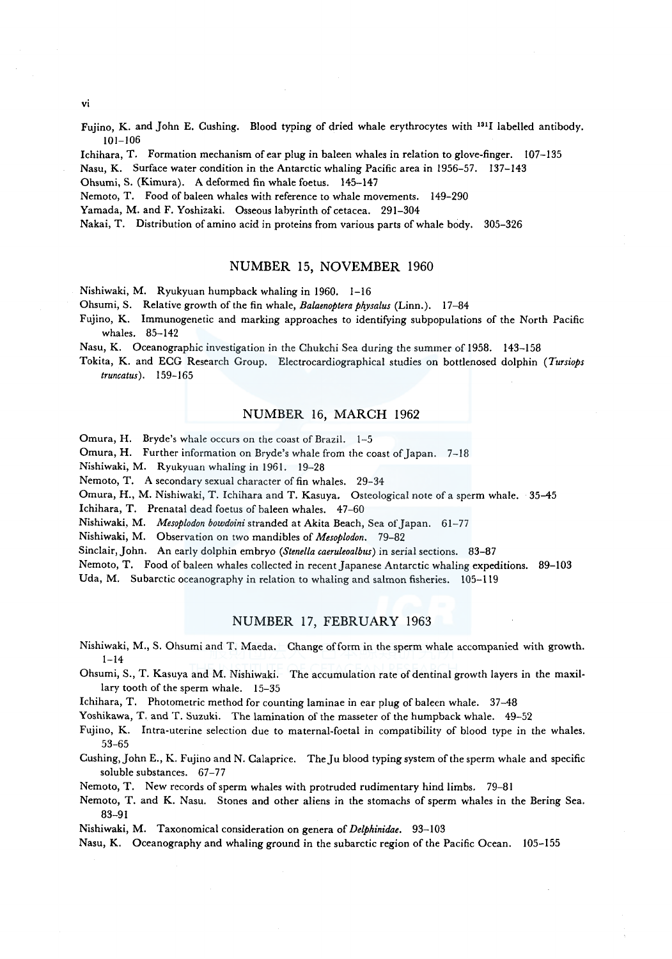Fujino, K. and John E. Cushing. Blood typing of dried whale erythrocytes with <sup>131</sup>I labelled antibody. 101-106

Ichihara, T. Formation mechanism of ear plug in baleen whales in relation to glove-finger. !07-135

Nasu, K. Surface water condition in the Antarctic whaling Pacific area in 1956-57. 137-143 Ohsumi, S. (Kimura). A deformed fin whale foetus. 145-147

Nemoto, T. Food of baleen whales with reference to whale movements. 149-290

Yamada, M. and F. Yoshizaki. Osseous labyrinth of cetacea. 291-304

Nakai, T. Distribution of amino acid in proteins from various parts of whale body. 305-326

## NUMBER 15, NOVEMBER 1960

Nishiwaki, M. Ryukyuan humpback whaling in 1960. 1-16

Ohsumi, S. Relative growth of the fin whale, *Balaenoptera ph\_vsalus* (Linn.). 17-84

Fujino, K. Immunogenetic and marking approaches to identifying subpopulations of the North Pacific whales. 85-142

Nasu, K. Oceanographic investigation in the Chukchi Sea during the summer of 1958. 143-158

Tokita, K. and ECG Research Group. Electrocardiographical studies on bottlenosed dolphin *(Tursiops truncatus).* 159-165

# NUMBER 16, MARCH 1962

Omura, H. Bryde's whale occurs on the coast of Brazil. 1-5

Omura, H. Further information on Bryde's whale from the coast of Japan. 7-18

Nishiwaki, M. Ryukyuan whaling in 1961. 19-28

Nemoto, T. A secondary sexual character of fin whales. 29-34

Omura, H., M. Nishiwaki, T. Ichihara and T. Kasuya. Osteological note of a sperm whale. 35-45

Ichihara, T. Prenatal dead foetus of baleen whales. 47-60

Nishiwaki, M. *Mesoplodon bowdoini* stranded at Akita Beach, Sea ofJapan. 61-77

Nishiwaki, M. Observation on two mandibles of *Mesoplodon.* 79-82

Sinclair, John. An early dolphin embryo *(Stene/la caeruleoalbus)* in serial sections. 83-87

Nemoto, T. Food of baleen whales collected in recent Japanese Antarctic whaling expeditions. 89-103

Uda, M. Subarctic oceanography in relation to whaling and salmon fisheries. 105-119

# NUMBER 17, FEBRUARY 1963

Nishiwaki, M., S. Ohsumi and T. Maeda. Change of form in the sperm whale accompanied with growth. 1-14

Ohsumi, S., T. Kasuya and M. Nishiwaki. The accumulation rate of dentinal growth layers in the maxillary tooth of the sperm whale. 15-35

Ichihara, T. Photometric method for counting laminae in ear plug of baleen whale. 37-48

Yoshikawa, T. and T. Suzuki. The lamination of the masseter of the humpback whale. 49-52

Fujino, K. Intra-uterine selection due to maternal-foetal in compatibility of blood type in the whales. 53-65

Cushing, John E., K. Fujino and N. Calaprice. The Ju blood typing system of the sperm whale and specific soluble substances. 67-77

Nemoto, T. New records of sperm whales with protruded rudimentary hind limbs. 79-81

Nemoto, T. and K. Nasu. Stones and other aliens in the stomachs of sperm whales in the Bering Sea. 83-91

Nishiwaki, M. Taxonomical consideration on genera of *Delphinidae.* 93-103

Nasu, K. Oceanography and whaling ground in the subarctic region of the Pacific Ocean. 105-155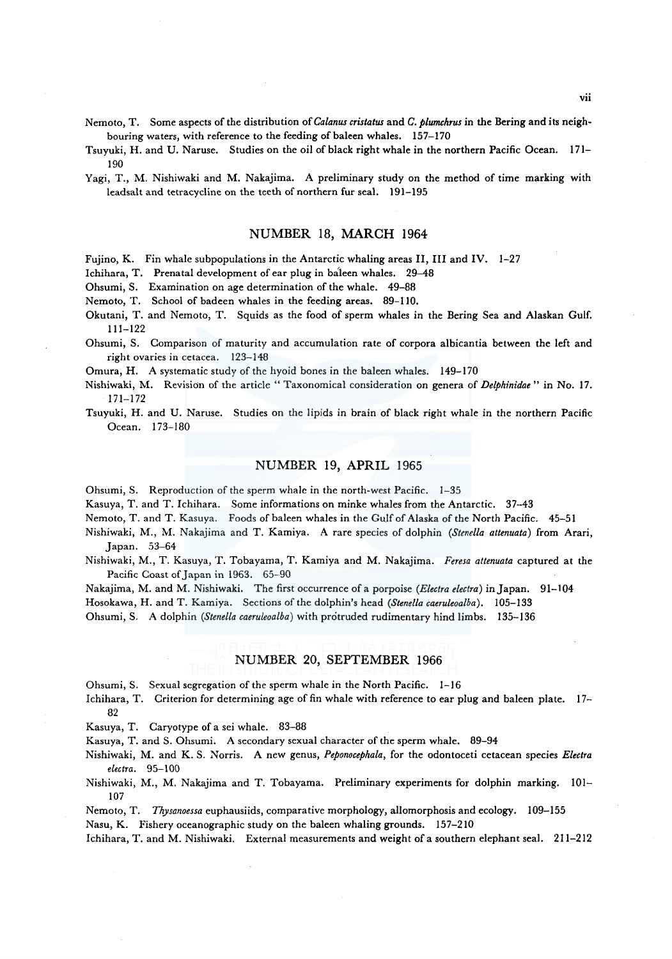Nemoto, T. Some aspects of the distribution of *Calanus cristatus* and *C. plumchrus* in the Bering and its neighbouring waters, with reference to the feeding of baleen whales. 157-170

Tsuyuki, H. and U. Naruse. Studies on the oil of black right whale in the northern Pacific Ocean. 171- 190

Yagi, T., M. Nishiwaki and M. Nakajima. A preliminary study on the method of time marking with leadsalt and tetracycline on the teeth of northern fur seal. 191-195

### NUMBER 18, MARCH 1964

Fujino, K. Fin whale subpopulations in the Antarctic whaling areas II, III and IV.  $1-27$ 

Ichihara, T. Prenatal development of ear plug in baleen whales. 29-48

Ohsumi, S. Examination on age determination of the whale. 49-88

Nemoto, T. School of badeen whales in the feeding areas. 89-110.

Okutani, T. and Nemoto, T. Squids as the food of sperm whales in the Bering Sea and Alaskan Gulf. 111-122

Ohsumi, S. Comparison of maturity and accumulation rate of corpora albicantia between the left and right ovaries in cetacea. 123-148

Omura, H. A systematic study of the hyoid bones in the baleen whales. 149-170

Nishiwaki, M. Revision of the article "Taxonomical consideration on genera of *Delphinidae"* in No. 17. 171-172

Tsuyuki, H. and U. Naruse. Studies on the lipids in brain of black right whale in the northern Pacific Ocean. 173-180

#### NUMBER 19, APRIL 1965

Ohsumi, S. Reproduction of the sperm whale in the north-west Pacific. 1-35

Kasuya, T. and T. Ichihara. Some informations on minke whales from the Antarctic. 37-43

Nemoto, T. and T. Kasuya. Foods of baleen whales in the Gulf of Alaska of the North Pacific. 45-51

Nishiwaki, M., M. Nakajima and T. Kamiya. A rare species of dolphin *(Stene/la attenuata)* from Arari, Japan. 53-64

Nishiwaki, M., T. Kasuya, T. Tobayama, T. Kamiya and M. Nakajima. *Feresa attenuata* captured at the Pacific Coast of Japan in 1963. 65-90

Nakajima, M. and M. Nishiwaki. The first occurrence ofa porpoise *(Electra electra)* in Japan. 91-104

Hosokawa, H. and T. Kamiya. Sections of the dolphin's head *(Stenella caeruleoalba).* 105-133

Ohsumi, S. A dolphin *(Stene/la caeruleoalba)* with protruded rudimentary hind limbs. 135-136

### NUMBER 20, SEPTEMBER 1966

Ohsumi, S. Sexual segregation of the sperm whale in the North Pacific. 1-16

Ichihara, T. Criterion for determining age of fin whale with reference *to* ear plug and baleen plate. 17- 82

Kasuya, T. Caryotype of a sei whale. 83-88

Kasuya, T. and S. Ohsumi. A secondary sexual character of the sperm whale. 89-94

Nishiwaki, M. and K. S. Norris. A new genus, *Peponocephala,* for the odontoceti cetacean species *Electra electra.* 95-l 00

Nishiwaki, M., M. Nakajima and T. Tobayama. Preliminary experiments for dolphin marking. 101- 107

Nemoto, T. *Thysanoessa* euphausiids, comparative morphology, allomorphosis and ecology. 109-155

Nasu, K. Fishery oceanographic study on the baleen whaling grounds. 157-210

Ichihara, T. and M. Nishiwaki. External measurements and weight of a southern elephant seal. 211-212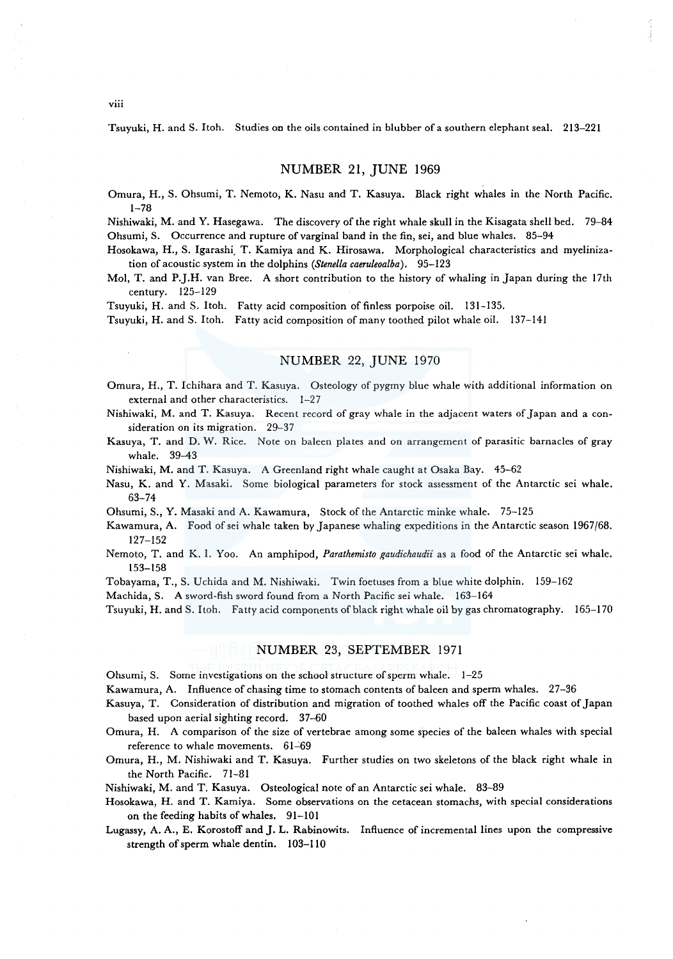Tsuyuki, H. and S. Itoh. Studies on the oils contained in blubber of a southern elephant seal. 213-221

#### NUMBER 21, JUNE 1969

Omura, H., S. Ohsumi, T. Nemoto, K. Nasu and T. Kasuya. Black right whales in the North Pacific. 1-78

Nishiwaki, M. and Y. Hasegawa. The discovery of the right whale skull in the Kisagata shell bed. 79-84 Ohsumi, S. Occurrence and rupture of varginal band in the fin, sei, and blue whales. 85-94

Hosokawa, H., S. lgarashi. T. Kamiya and K. Hirosawa. Morphological characteristics and myelinization of acoustic system in the dolphins *(Stene/la caeruleoalba).* 95-123

Mol, T. and P.J.H. van Bree. A short contribution to the history of whaling in Japan during the 17th century. 125-129

Tsuyuki, H. and S. ltoh. Fatty acid composition of finless porpoise oil. 131-135.

Tsuyuki, H. and S. Itoh. Fatty acid composition of many toothed pilot whale oil. 137-141

### NUMBER 22, JUNE 1970

Omura, H., T. lchihara and T. Kasuya. Osteology of pygmy blue whale with additional information on external and other characteristics. 1-27

Nishiwaki, M. and T. Kasuya. Recent record of gray whale in the adjacent waters of Japan and a consideration on its migration. 29-37

Kasuya, T. and D. W. Rice. Note on baleen plates and on arrangement of parasitic barnacles of gray whale. 39-43

Nishiwaki, M. and T. Kasuya. A Greenland right whale caught at Osaka Bay. 45-62

Nasu, K. and Y. Masaki. Some biological parameters for stock assessment of the Antarctic sei whale. 63-74

Ohsumi, S., Y. Masaki and A. Kawamura, Stock of the Antarctic minke whale. 75-125

Kawamura, A. Food of sei whale taken by Japanese whaling expeditions in the Antarctic season 1967 /68. 127-152

Nemoto, T. and K. I. Yoo. An amphipod, *Parathemisto gaudichaudii* as a food of the Antarctic sei whale. 153-158

Tobayama, T., S. Uchida and M. Nishiwaki. Twin foetuses from a blue white dolphin. 159-162

Machida, S. A sword-fish sword found from a North Pacific sei whale. 163-164

Tsuyuki, H. and S. ltoh. Fatty acid components of black right whale oil by gas chromatography. 165-170

# NUMBER 23, SEPTEMBER 1971

Ohsumi, S. Some investigations on the school structure of sperm whale. 1-25

Kawamura, A. Influence of chasing time to stomach contents of baleen and sperm whales. 27-36

Kasuya, T. Consideration of distribution and migration of toothed whales off the Pacific coast of Japan based upon aerial sighting record. 37-60

Omura, H. A comparison of the size of vertebrae among some species of the baleen whales with special reference to whale movements. 61-69

Omura, H., M. Nishiwaki and T. Kasuya. Further studies on two skeletons of the black right whale in the North Pacific. 71-81

Nishiwaki, M. and T. Kasuya. Osteological note of an Antarctic sei whale. 83-89

Hosokawa, H. and T. Kamiya. Some observations on the cetacean stomachs, with special considerations on the feeding habits of whales. 91-101

Lugassy, A. A., E. Korostoff and J. L. Rabinowits. Influence of incremental lines upon the compressive strength of sperm whale dentin. 103-110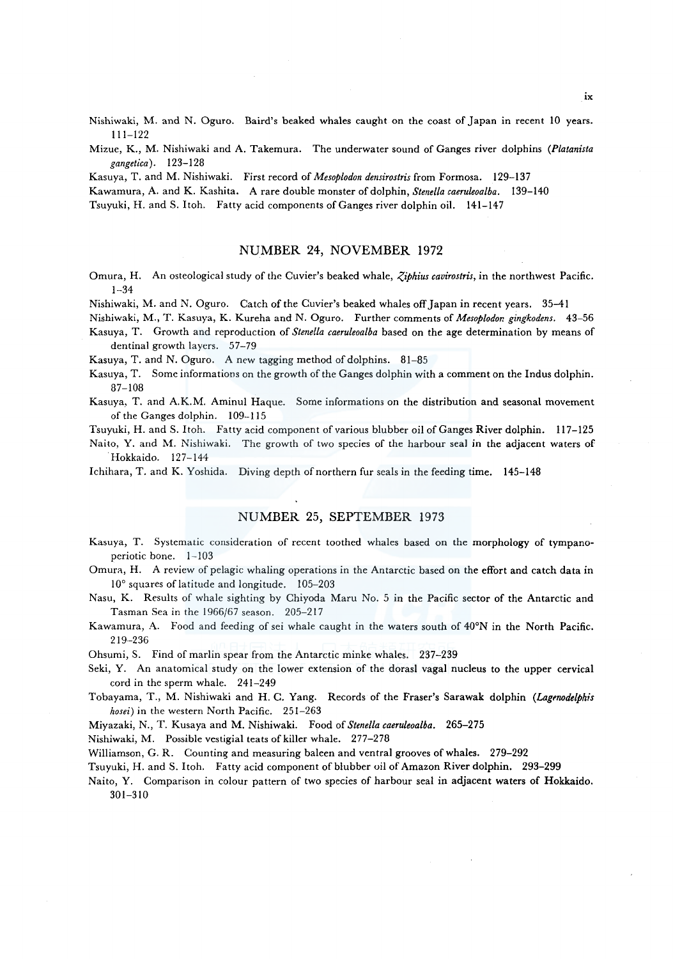Nishiwaki, M. and N. Oguro. Baird's beaked whales caught on the coast of Japan in recent 10 years. 111-122

Mizue, K., M. Nishiwaki and A. Takemura. The underwater sound of Ganges river dolphins *(Platanista gangetica).* 123-128

Kasuya, T. and M. Nishiwaki. First record of *Mesoplodon densirostris* from Formosa. 129-137

Kawamura, A. and K. Kashita. A rare double monster of dolphin, *Stenella caeruleoalba.* 139-140

Tsuyuki, H. and S. ltoh. Fatty acid components of Ganges river dolphin oil. 141-147

### NUMBER 24, NOVEMBER 1972

Omura, H. An osteological study of the Cuvier's beaked whale, *Ziphius cavirostris*, in the northwest Pacific. 1-34

Nishiwaki, M. and N. Oguro. Catch of the Cuvier's beaked whales off Japan in recent years. 35-41

Nishiwaki, M., T. Kasuya, K. Kureha and N. Oguro. Further comments of *Mesoplodor. gingkodens.* 43-56

Kasuya, T. Growth and reproduction of *Stenella caeruleoalba* based on the age determination by means of dentinal growth layers. 57-79

Kasuya, T. and N. Oguro. A new tagging method of dolphins. 81-85

Kasuya, T. Some informations on the growth of the Ganges dolphin with a comment on the Indus dolphin. 87-108

Kasuya, T. and A.K.M. Aminul Haque. Some informations on the distribution and seasonal movement of the Ganges dolphin. 109-115

Tsuyuki, H. and S. Itoh. Fatty acid component of various blubber oil of Ganges River dolphin. 117-125

Naito, Y. and M. Nishiwaki. The growth of two species of the harbour seal in the adjacent waters of Hokkaido. 127-144

lchihara, T. and K. Yoshida. Diving depth of northern fur seals in the feeding time. 145-148

## NUMBER 25, SEPTEMBER 1973

- Kasuya, T. Systematic consideration of recent toothed whales based on the morphology of tympanoperiotic bone. 1-103
- Omura, H. A review of pelagic whaling operations in the Antarctic based on the effort and catch data in 10° squares of latitude and longitude. 105-203
- Nasu, K. Results of whale sighting by Chiyoda Maru No. 5 in the Pacific sector of the Antarctic and Tasman Sea in the 1966/67 season. 205-217
- Kawamura, A. Food and feeding of sei whale caught in the waters south of 40°N in the North Pacific. 219-236

Ohsumi, S. Find of marlin spear from the Antarctic minke whales. 237-239

- Seki, Y. An anatomical study on the lower extension of the dorasl vagal nucleus to the upper cervical cord in the sperm whale. 241-249
- Tobayama, T., M. Nishiwaki and H. C. Yang. Records of the Fraser's Sarawak dolphin *(Lagmodelphis hosei)* in the western North Pacific. 251-263

Miyazaki, N., T. Kusaya and M. Nishiwaki. Food of *Stenella caeruleoalba.* 265-275

Nishiwaki, M. Possible vestigial teats of killer whale. 277-278

Williamson, G. R. Counting and measuring baleen and ventral grooves of whales. 279-292

Tsuyuki, H. and S. ltoh. Fatty acid component of blubber oil of Amazon River dolphin. 293-299

Naito, Y. Comparison in colour pattern of two species of harbour seal in adjacent waters of Hokkaido. 301-310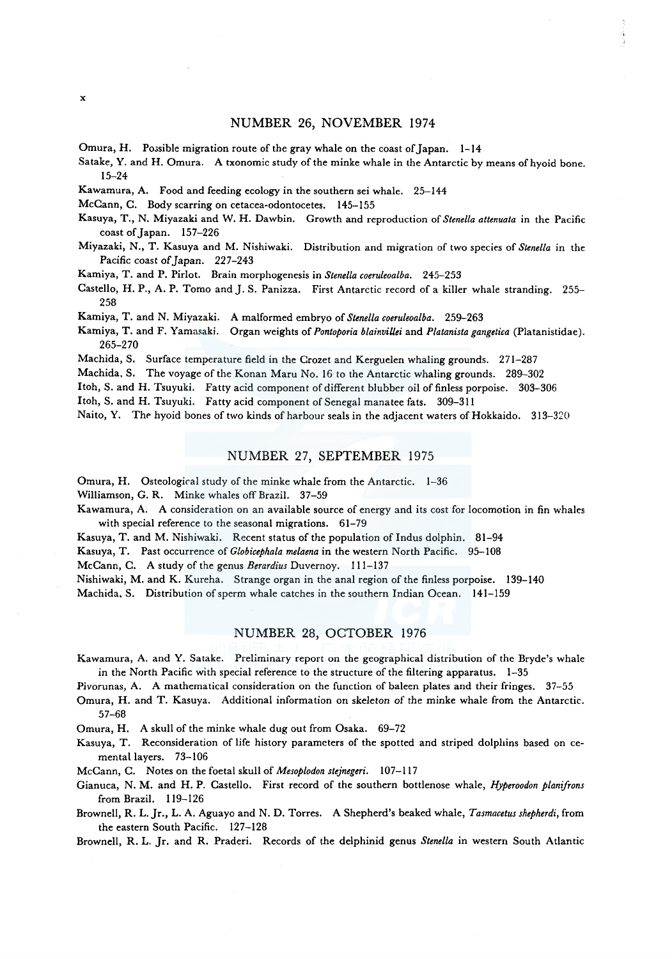#### NUMBER 26, NOVEMBER 1974

Omura, H. Possible migration route of the gray whale on the coast of Japan. 1-14

Satake, Y. and H. Omura. A txonomic study of the minke whale in the Antarctic by means of hyoid bone. 15-24

Kawamura, A. Food and feeding ecology in the southern sei whale. 25-144

McCann, C. Body scarring on cetacea-odontocetes. 145-155

- Kasuya, T., N. Miyazaki and W. H. Dawbin. Growth and reproduction of *Stene/la attenuata* in the Pacific coast of Japan. 157-226
- Miyazaki, N., T. Kasuya and M. Nishiwaki. Distribution and migration of two species of *Stene/la* in the Pacific coast of Japan. 227-243

Kamiya, T. and P. Pirlot. Brain morphogenesis in *Stene/la coeruleoalba.* 245-253

Castello, H. P., A. P. Tomo and J. S. Panizza. First Antarctic record of a killer whale stranding. 255-258

Kamiya, T. and N. Miyazaki. A malformed embryo of *Stenella coeruleoalba.* 259-263

Kamiya, T. and F. Yamasaki. Organ weights of *Pontoporia b/ainuillei* and *P/atanista gangetica* (Platanistidae). 265-270

Machida, S. Surface temperature field in the Crozet and Kerguelen whaling grounds. 271-287

Machida, S. The voyage of the Konan Maru No. 16 to the Antarctic whaling grounds. 289-302

Itoh, S. and H. Tsuyuki. Fatty acid component of different blubber oil of finless porpoise. 303-306

Itoh, S. and H. Tsuyuki. Fatty acid component of Senegal manatee fats. 309-311

Naito, Y. The hyoid bones of two kinds of harbour seals in the adjacent waters of Hokkaido. 313-320

### NUMBER 27, SEPTEMBER 1975

Omura, H. Osteological study of the minke whale from the Antarctic. 1-36

Williamson, G. R. Minke whales off Brazil. 37-59

Kawamura, A. A consideration on an available source of energy and its cost for locomotion in fin whales with special reference to the seasonal migrations. 61-79

Kasuya, T. and M. Nishiwaki. Recent status of the population of lndus dolphin. 81-94

Kasuya, T. Past occurrence of *Globicephala melaena* in the western North Pacific. 95--108

McCann, C. A study of the genus *Berardius* Duvernoy. 111-137

Nishiwaki, M. and K. Kureha. Strange organ in the anal region of the finless porpoise. 139-140 Machida, S. Distribution of sperm whale catches in the southern Indian Ocean. 141-159

# NUMBER 28, OCTOBER 1976

Kawamura, A. and Y. Satake. Preliminary report on the geographical distribution of the Bryde's whale in the North Pacific with special reference to the structure of the filtering apparatus. 1-35

Pivorunas, A. A mathematical consideration on the function of baleen plates and their fringes. 37-55

Omura, H. and T. Kasuya. Additional information on skeleton of the minke whale from the Antarctic. 57-68

Omura, H. A skull of the minke whale dug out from Osaka. 69-72

Kasuya, T. Reconsideration of life history parameters of the spotted and striped dolphins based on cemental layers. 73-106

McCann, C. Notes on the foetal skull of *Mesoplodon stejnegeri.* 107-117

Gianuca, N. M. and H.P. Castello. First record of the southern bottlenose whale, *Hyperoodon planifrons*  from Brazil. 119-126

Brownell, R. L. Jr., L. A. Aguayo and N. D. Torres. A Shepherd's beaked whale, *Tasmacetus shepherdi,* from the eastern South Pacific. 127-128

Brownell, R. L. Jr. and R. Praderi. Records of the delphinid genus *Stene/la* in western South Atlantic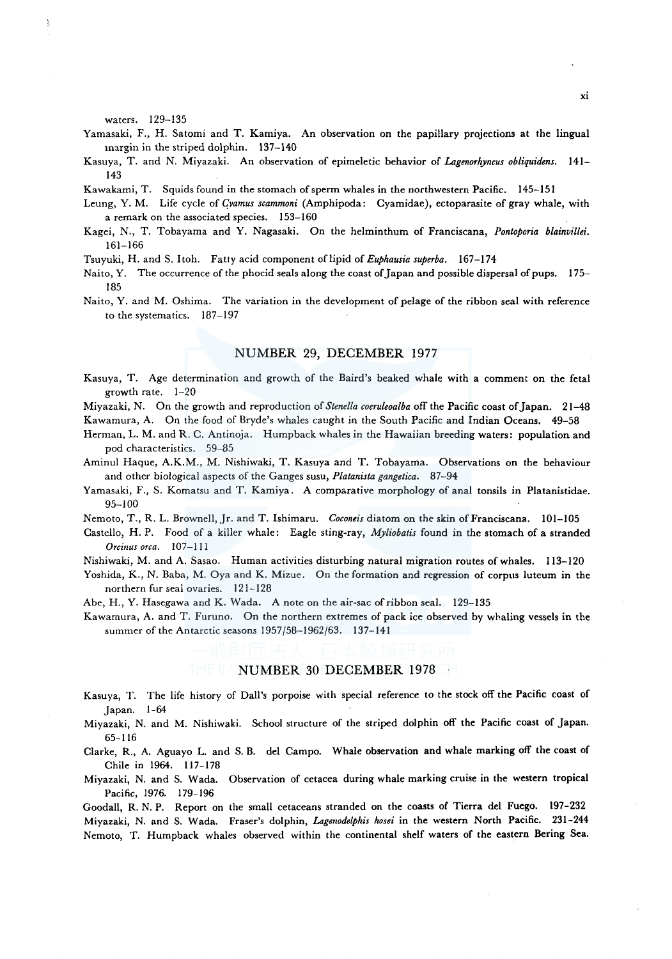waters. 129-135

- Yamasaki, F., H. Satomi and T. Kamiya. An observation on the papillary projections at the lingual margin in the striped dolphin. 137-140
- Kasuya, T. and N. Miyazaki. An observation of epimeletic behavior of *Lagenorhyncus obliquidens.* 141- 143
- Kawakami, T. Squids found in the stomach of sperm whales in the northwestern Pacific. 145-151
- Leung, Y. M. Life cycle of *Gvamus scammoni* (Amphipoda: Cyamidae), ectoparasite of gray whale, with a remark on the associated species. 153-160
- Kagei, N., T. Tobayama and Y. Nagasaki. On the helminthum of Franciscana, *Pontoporia blainvillei.*  161-166
- Tsuyuki, H. and S. Itoh. Fatty acid component of lipid of *Euphausia superba.* 167-174
- Naito, Y. The occurrence of the phocid seals along the coast of Japan and possible dispersal of pups. 175- 185
- Naito, Y. and M. Oshima. The variation in the development of pelage of the ribbon seal with reference to the systematics. 187-197

### NUMBER 29, DECEMBER 1977

Kasuya, T. Age determination and growth of the Baird's beaked whale with a comment on the feta! growth rate. 1-20

Miyazaki, N. On the growth and reproduction of *Stene/la coeruleoalba* off the Pacific coast of Japan. 21-48

Kawamura, A. On the food of Bryde's whales caught in the South Pacific and Indian Oceans. 49-58

- Herman, L. M. and R. C. Antinoja. Humpback whales in the Hawaiian breeding waters: population and pod characteristics. 59-85
- Aminul Haque, A.K.M., M. Nishiwaki, T. Kasuya and T. Tobayama. Observations on the behaviour and other biological aspects of the Ganges susu, *Platanista gangetica.* 87-94
- Yamasaki, F., S. Komatsu and T. Kamiya. A comparative morphology of anal tonsils in Platanistidae. 95-100
- Nemoto, T., R. L. Brownell, Jr. and T. Ishimaru. *Coconeis* diatom on the skin of Franciscana. 101-105
- Castello, H.P. Food of a killer whale: Eagle sting-ray, *Myliobatis* found in the stomach of a stranded *Orcinus orca.* 107-111
- Nishiwaki, M. and A. Sasao. Human activities disturbing natural migration routes of whales. 113-120
- Yoshida, K., N. Baba, M. Oya and K. Mizue. On the formation and regression of corpus luteum in the northern fur seal ovaries. 121-128
- Abe, H., Y. Hasegawa and K. Wada. A note on the air-sac of ribbon seal. 129-135
- Kawamura, A. and T. Furuno. On the northern extremes of pack ice observed by whaling vessels in the summer of the Antarctic seasons 1957/58-1962/63. 137-141

### NUMBER 30 DECEMBER 1978

Kasuya, T. The life history of Dall's porpoise with special reference to the stock off the Pacific coast of Japan. 1-64

Miyazaki, N. and M. Nishiwaki. School structure of the striped dolphin off the Pacific coast of Japan. 65-116

- Clarke, R., A. Aguayo L. and S. B. de! Campo. Whale observation and whale marking off the coast of Chile in 1964. 117-178
- Miyazaki, N. and S. Wada. Observation of cetacea during whale marking cruise in the western tropical Pacific, 1976. 179-196

Goodall, R. N. P. Report on the small cetaceans stranded on the coasts of Tierra de! Fuego. 197-232 Miyazaki, N. and S. Wada. Fraser's dolphin, *Lage1zodelphis hosei* in the western North Pacific. 231-244 Nemoto, T. Humpback whales observed within the continental shelf waters of the eastern Bering Sea.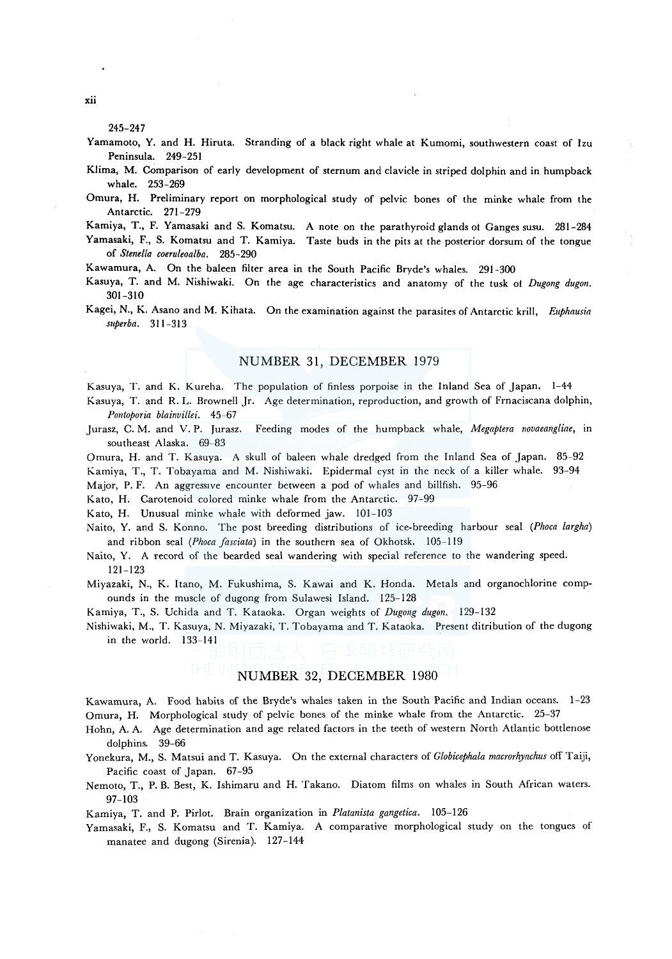#### 245-247

- Yamamoto, Y. and H. Hiruta. Stranding of a black right whale at Kumomi, southwestern coast of Izu Peninsula. 249-251
- Klima, M. Comparison of early development of sternum and clavicle in striped dolphin and in humpback whale. 253-269
- Omura, H. Preliminary report on morphological study of pelvic bones of the minke whale from the Antarctic. 271-279
- Kamiya, T., F. Yamasaki and S. Komatsu. A note on the parathyroid glands of Ganges susu. 281-284
- Yamasaki, F., S. Komatsu and T. Kamiya. Taste buds in the pits at the posterior dorsum of the tongue of *Stenella coeruleoalba.* 285-290
- Kawamura, A. On the baleen filter area in the South Pacific Bryde's whales. 291-300
- Kasuya, T. and M. Nishiwaki. On the age characteristics and anatomy of the tusk ol *Dugong dugon.*  301-310
- Kagei, N., K. Asano and M. Kihata. On the examination against the parasites of Antarctic krill, *Euphausia superba.* 311-313

### NUMBER 31, DECEMBER 1979

Kasuya, T. and K. Kureha. The population of finless porpoise in the Inland Sea of Japan. 1-44

- Kasuya, T. and R. L. Brownell Jr. Age determination, reproduction, and growth of Frnaciscana dolphin, *Po11toporia blainvillei.* 45-67
- Jurasz, C. M. and V. P. Jurasz. Feeding modes of the humpback whale, *Megaptera novaeangliae,* in southeast Alaska. 69-83
- Omura, H. and T. Kasuya. A skull of baleen whale dredged from the Inland Sea of Japan. 85-92
- Kamiya, T., T. Tobayama and M. Nishiwaki. Epidermal cyst in the neck of a killer whale. 93-94
- Major, P. F. An aggressive encounter between a pod of whales and billfish. 95-96
- Kato, H. Carotenoid colored minke whale from the Antarctic. 97-99
- Kato, H. Unusual minke whale with deformed jaw. 101-103
- Naito, Y. and S. Konno. The post breeding distributions of ice-breeding harbour seal *(Phoca largha)*  and ribbon seal *(Phoca fasciata)* in the southern sea of Okhotsk. 105-119
- Naito, Y. A record of the bearded seal wandering with special reference to the wandering speed. 121-123
- Miyazaki, N., K. Itano, M. Fukushima, S. Kawai and K. Honda. Metals and organochlorine compounds in the muscle of dugong from Sulawesi Island. 125-128
- Kamiya, T., S. Uchida and T. Kataoka. Organ weights of *Dugong dugon.* 129-132
- Nishiwaki, M., T. Kasuya, N. Miyazaki, T. Tobayama and T. Kataoka. Present ditribution of the dugong in the world. 133-141

### NUMBER 32, DECEMBER 1980

Kawamura, A. Food habits of the Bryde's whales taken in the South Pacific and Indian oceans. 1-23 Omura, H. Morphological study of pelvic bones of the minke whale from the Antarctic. 25-37

Hohn, A. A. Age determination and age related factors in the teeth of western North Atlantic bottlenose dolphins. 39-66

- Yonekura, M., S. Matsui and T. Kasuya. On the external characters of *Globicephala macrorhynchus* off Taiji, Pacific coast of Japan. 67-95
- Nemoto, T., P. B. Best, K. Ishimaru and H. Takano. Diatom films on whales in South African waters. 97-103

Kamiya, T. and P. Pirlot. Brain organization in *Platanista gangetica.* 105-126

Yamasaki, F., S. Komatsu and T. Kamiya. A comparative morphological study on the tongues of manatee and dugong (Sirenia). 127-144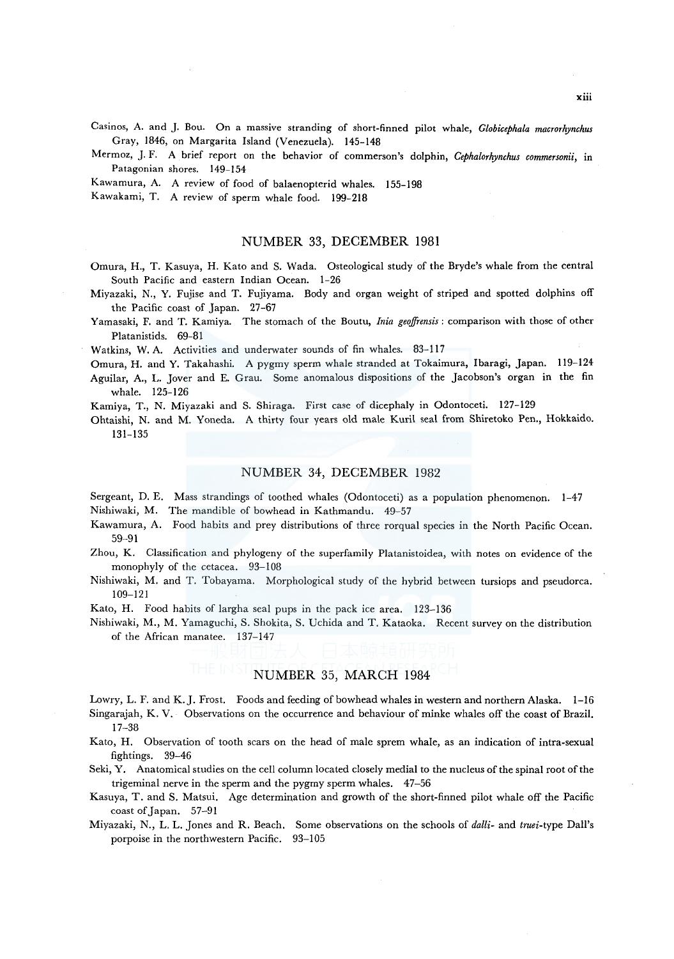Casinos, A. and J. Bou. On a massive stranding of short-finned pilot whale, *Globicephala macrorhynchus*  Gray, 1846, on Margarita Island (Venezuela). 145-148

Mermoz, J. F. A brief report on the behavior of commerson's dolphin, *Cephalorhynchus commersonii,* in Patagonian shores. 149-154

Kawamura, A. A review of food of balaenopterid whales. 155-198

Kawakami, T. A review of sperm whale food. 199-218

#### NUMBER 33, DECEMBER 1981

Omura, H., T. Kasuya, H. Kato and S. Wada. Osteological study of the Bryde's whale from the central South Pacific and eastern Indian Ocean. 1-26

Miyazaki, N., Y. Fujise and T. Fujiyama. Body and organ weight of striped and spotted dolphins off the Pacific coast of Japan. 27-67

Yamasaki, F. and T. Kamiya. The stomach of the Boutu, *Inia geoffrensis*: comparison with those of other Platanistids. 69-81

Watkins, W. A. Activities and underwater sounds of fin whales. 83-117

Omura, H. and Y. Takahashi. A pygmy sperm whale stranded at Tokaimura, Ibaragi, Japan. 119-124

Aguilar, A., L. Jover and E. Grau. Some anomalous dispositions of the Jacobson's organ in the fin whale. 125-126

Kamiya, T., N. Miyazaki and S. Shiraga. First case of dicephaly in Odontoceti. 127-129

Ohtaishi, N. and M. Yoneda. A thirty four years old male Kuril seal from Shiretoko Pen., Hokkaido. 131-135

#### NUMBER 34, DECEMBER 1982

Sergeant, D. E. Mass strandings of toothed whales (Odontoceti) as a population phenomenon. 1-47 Nishiwaki, M. The mandible of bowhead in Kathmandu. 49-57

Kawamura, A. Food habits and prey distributions of three rorqual species in the North Pacific Ocean. 59-91

Zhou, K. Classification and phylogeny of the superfamily Platanistoidea, with notes on evidence of the monophyly of the cetacea. 93-108

Nishiwaki, M. and T. Tobayama. Morphological study of the hybrid between tursiops and pseudorca. 109-121

Kato, H. Food habits of largha seal pups in the pack ice area. 123-136

Nishiwaki, M., M. Yamaguchi, S. Shakita, S. Uchida and T. Kataoka. Recent survey on the distribution of the African manatee. 137-147

# NUMBER 35, MARCH 1984

Lowry, L. F. and K. J. Frost. Foods and feeding of bowhead whales in western and northern Alaska. 1-16 Singarajah, K. V. Observations on the occurrence and behaviour of minke whales off the coast of Brazil. 17-38

Kato, H. Observation of tooth scars on the head of male sprem whale, as an indication of intra-sexual fightings. 39-46

Seki, Y. Anatomical studies on the cell column located closely medial to the nucleus of the spinal root of the trigeminal nerve in the sperm and the pygmy sperm whales. 47-56

Kasuya, T. and S. Matsui. Age determination and growth of the short-finned pilot whale off the Pacific coast of Japan. 57-91

Miyazaki, N., L. L. Jones and R. Beach. Some observations on the schools of *dalli-* and *truei-type* Dall's porpoise in the northwestern Pacific. 93-105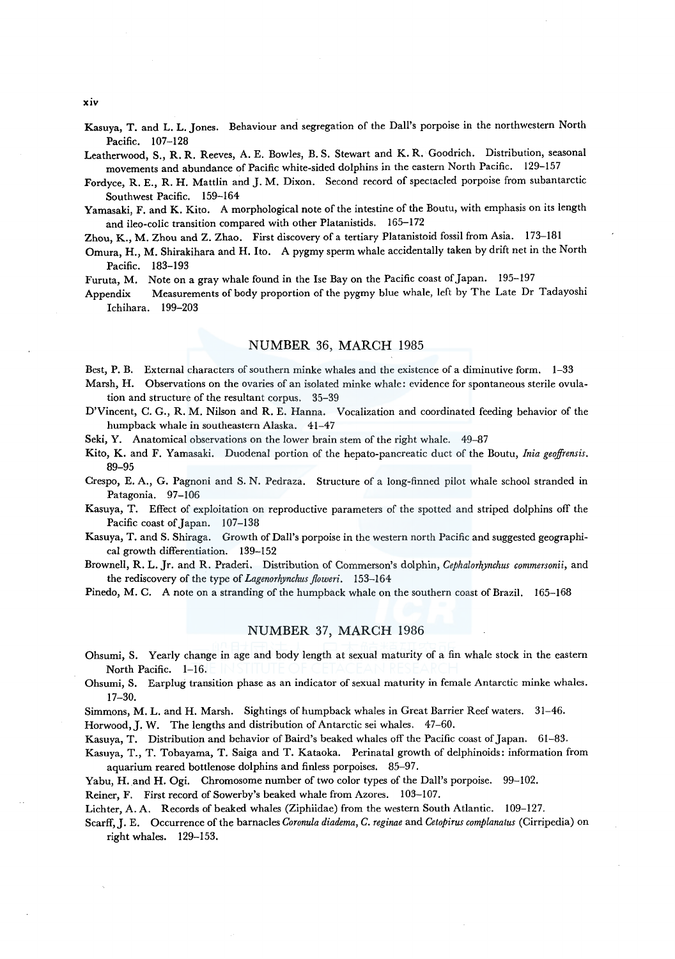Kasuya, T. and L. L. Jones. Behaviour and segregation of the Dall's porpoise in the northwestern North Pacific. 107-128

Leatherwood, S., R.R. Reeves, A.E. Bowles, B.S. Stewart and K.R. Goodrich. Distribution, seasonal movements and abundance of Pacific white-sided dolphins in the eastern North Pacific. 129-157

Fordyce, R. E., R. H. Mattlin and J. M. Dixon. Second record of spectacled porpoise from subantarctic Southwest Pacific. 159-164

Yamasaki, F. and K. Kito. A morphological note of the intestine of the Boutu, with emphasis on its length and ileo-colic transition compared with other Platanistids. 165-172

Zhou, K., M. Zhou and Z. Zhao. First discovery of a tertiary Platanistoid fossil from Asia. 173-181

Omura, H., M. Shirakihara and H. Ito. A pygmy sperm whale accidentally taken by drift net in the North Pacific. 183-193

Furuta, M. Note on a gray whale found in the Ise Bay on the Pacific coast of Japan. 195-197

Appendix Measurements of body proportion of the pygmy blue whale, left by The Late Dr Tadayoshi Ichihara. 199-203

### NUMBER 36, MARCH 1985

Best, P. B. External characters of southern minke whales and the existence of a diminutive form. 1-33

Marsh, H. Observations on the ovaries of an isolated minke whale: evidence for spontaneous sterile ovulation and structure of the resultant corpus. 35-39

D'Vincent, C. G., R. M. Nilson and R. E. Hanna. Vocalization and coordinated feeding behavior of the humpback whale in southeastern Alaska. 41-47

Seki, Y. Anatomical observations on the lower brain stem of the right whale. 49-87

- Kito, K. and F. Yamasaki. Duodenal portion of the hepato-pancreatic duct of the Boutu, *Inia geoffrensis.*  89-95
- Crespo, E. A., G. Pagnoni and S. N. Pedraza. Structure of a long-finned pilot whale school stranded in Patagonia. 97-106
- Kasuya, T. Effect of exploitation on reproductive parameters of the spotted and striped dolphins off the Pacific coast of Japan. 107-138
- Kasuya, T. and S. Shiraga. Growth of Dall's porpoise in the western north Pacific and suggested geographical growth differentiation. 139-152

Brownell, R. L. Jr. and R. Praderi. Distribution of Commerson's dolphin, *Cephalorhynchus commersonii,* and the rediscovery of the type of *Lagenorhynchus floweri*. 153-164

Pinedo, M. C. A note on a stranding of the humpback whale on the southern coast of Brazil. 165-168

### NUMBER 37, MARCH 1986

Ohsumi, S. Yearly change in age and body length at sexual maturity of a fin whale stock in the eastern North Pacific. 1-16.

Ohsumi, S. Earplug transition phase as an indicator of sexual maturity in female Antarctic minke whales. 17-30.

Simmons, M. L. and H. Marsh. Sightings of humpback whales in Great Barrier Reef waters. 31-46.

Horwood, J. W. The lengths and distribution of Antarctic sei whales. 47-60.

Kasuya, T. Distribution and behavior of Baird's beaked whales off the Pacific coast of Japan. 61-83.

Kasuya, T., T. Tobayama, T. Saiga and T. Kataoka. Perinatal growth of delphinoids: information from aquarium reared bottlenose dolphins and finless porpoises. 85-97.

Yabu, H. and H. Ogi. Chromosome number of two color types of the Dall's porpoise. 99-102.

Reiner, F. First record of Sowerby's beaked whale from Azores. 103-107.

Lichter, A. A. Records of beaked whales (Ziphiidae) from the western South Atlantic. 109-127.

Scarff,J. E. Occurrence of the barnacles *Coronula diadema, C. reginae* and *Cetopirus complanatus* (Cirripedia) on right whales. 129-153.

xiv